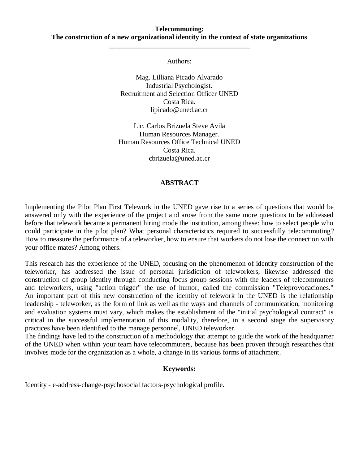#### **Telecommuting: The construction of a new organizational identity in the context of state organizations**

**\_\_\_\_\_\_\_\_\_\_\_\_\_\_\_\_\_\_\_\_\_\_\_\_\_\_\_\_\_\_\_\_\_\_\_\_\_\_\_\_**

Authors:

Mag. Lilliana Picado Alvarado Industrial Psychologist. Recruitment and Selection Officer UNED Costa Rica. lipicado@uned.ac.cr

Lic. Carlos Brizuela Steve Avila Human Resources Manager. Human Resources Office Technical UNED Costa Rica. cbrizuela@uned.ac.cr

#### **ABSTRACT**

Implementing the Pilot Plan First Telework in the UNED gave rise to a series of questions that would be answered only with the experience of the project and arose from the same more questions to be addressed before that telework became a permanent hiring mode the institution, among these: how to select people who could participate in the pilot plan? What personal characteristics required to successfully telecommuting? How to measure the performance of a teleworker, how to ensure that workers do not lose the connection with your office mates? Among others.

This research has the experience of the UNED, focusing on the phenomenon of identity construction of the teleworker, has addressed the issue of personal jurisdiction of teleworkers, likewise addressed the construction of group identity through conducting focus group sessions with the leaders of telecommuters and teleworkers, using "action trigger" the use of humor, called the commission "Teleprovocaciones." An important part of this new construction of the identity of telework in the UNED is the relationship leadership - teleworker, as the form of link as well as the ways and channels of communication, monitoring and evaluation systems must vary, which makes the establishment of the "initial psychological contract" is critical in the successful implementation of this modality, therefore, in a second stage the supervisory practices have been identified to the manage personnel, UNED teleworker.

The findings have led to the construction of a methodology that attempt to guide the work of the headquarter of the UNED when within your team have telecommuters, because has been proven through researches that involves mode for the organization as a whole, a change in its various forms of attachment.

#### **Keywords:**

Identity - e-address-change-psychosocial factors-psychological profile.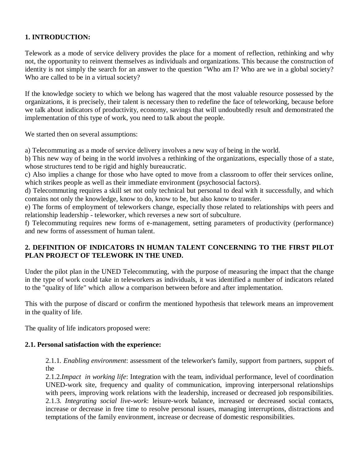## **1. INTRODUCTION:**

Telework as a mode of service delivery provides the place for a moment of reflection, rethinking and why not, the opportunity to reinvent themselves as individuals and organizations. This because the construction of identity is not simply the search for an answer to the question "Who am I? Who are we in a global society? Who are called to be in a virtual society?

If the knowledge society to which we belong has wagered that the most valuable resource possessed by the organizations, it is precisely, their talent is necessary then to redefine the face of teleworking, because before we talk about indicators of productivity, economy, savings that will undoubtedly result and demonstrated the implementation of this type of work, you need to talk about the people.

We started then on several assumptions:

a) Telecommuting as a mode of service delivery involves a new way of being in the world.

b) This new way of being in the world involves a rethinking of the organizations, especially those of a state, whose structures tend to be rigid and highly bureaucratic.

c) Also implies a change for those who have opted to move from a classroom to offer their services online, which strikes people as well as their immediate environment (psychosocial factors).

d) Telecommuting requires a skill set not only technical but personal to deal with it successfully, and which contains not only the knowledge, know to do, know to be, but also know to transfer.

e) The forms of employment of teleworkers change, especially those related to relationships with peers and relationship leadership - teleworker, which reverses a new sort of subculture.

f) Telecommuting requires new forms of e-management, setting parameters of productivity (performance) and new forms of assessment of human talent.

## **2. DEFINITION OF INDICATORS IN HUMAN TALENT CONCERNING TO THE FIRST PILOT PLAN PROJECT OF TELEWORK IN THE UNED.**

Under the pilot plan in the UNED Telecommuting, with the purpose of measuring the impact that the change in the type of work could take in teleworkers as individuals, it was identified a number of indicators related to the "quality of life" which allow a comparison between before and after implementation.

This with the purpose of discard or confirm the mentioned hypothesis that telework means an improvement in the quality of life.

The quality of life indicators proposed were:

### **2.1. Personal satisfaction with the experience:**

2.1.1. *Enabling environment*: assessment of the teleworker's family, support from partners, support of the chiefs.

2.1.2.*Impact in working life*: Integration with the team, individual performance, level of coordination UNED-work site, frequency and quality of communication, improving interpersonal relationships with peers, improving work relations with the leadership, increased or decreased job responsibilities. 2.1.3. *Integrating social live-work*: leisure-work balance, increased or decreased social contacts, increase or decrease in free time to resolve personal issues, managing interruptions, distractions and temptations of the family environment, increase or decrease of domestic responsibilities.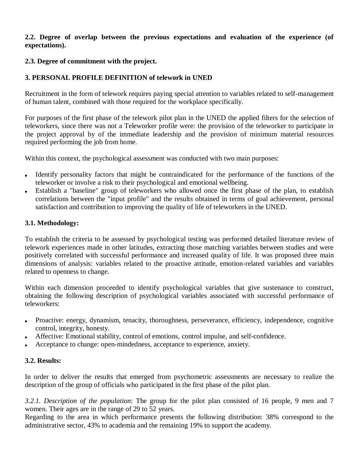#### **2.2. Degree of overlap between the previous expectations and evaluation of the experience (of expectations).**

## **2.3. Degree of commitment with the project.**

# **3. PERSONAL PROFILE DEFINITION of telework in UNED**

Recruitment in the form of telework requires paying special attention to variables related to self-management of human talent, combined with those required for the workplace specifically.

For purposes of the first phase of the telework pilot plan in the UNED the applied filters for the selection of teleworkers, since there was not a Teleworker profile were: the provision of the teleworker to participate in the project approval by of the immediate leadership and the provision of minimum material resources required performing the job from home.

Within this context, the psychological assessment was conducted with two main purposes:

- Identify personality factors that might be contraindicated for the performance of the functions of the teleworker or involve a risk to their psychological and emotional wellbeing.
- Establish a "baseline" group of teleworkers who allowed once the first phase of the plan, to establish  $\bullet$ correlations between the "input profile" and the results obtained in terms of goal achievement, personal satisfaction and contribution to improving the quality of life of teleworkers in the UNED.

## **3.1. Methodology:**

To establish the criteria to be assessed by psychological testing was performed detailed literature review of telework experiences made in other latitudes, extracting those matching variables between studies and were positively correlated with successful performance and increased quality of life. It was proposed three main dimensions of analysis: variables related to the proactive attitude, emotion-related variables and variables related to openness to change.

Within each dimension proceeded to identify psychological variables that give sustenance to construct, obtaining the following description of psychological variables associated with successful performance of teleworkers:

- Proactive: energy, dynamism, tenacity, thoroughness, perseverance, efficiency, independence, cognitive  $\bullet$ control, integrity, honesty.
- Affective: Emotional stability, control of emotions, control impulse, and self-confidence.
- Acceptance to change: open-mindedness, acceptance to experience, anxiety.

# **3.2. Results:**

In order to deliver the results that emerged from psychometric assessments are necessary to realize the description of the group of officials who participated in the first phase of the pilot plan.

*3.2.1. Description of the population*: The group for the pilot plan consisted of 16 people, 9 men and 7 women. Their ages are in the range of 29 to 52 years.

Regarding to the area in which performance presents the following distribution: 38% correspond to the administrative sector, 43% to academia and the remaining 19% to support the academy.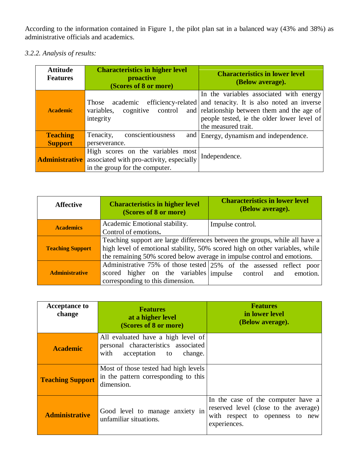According to the information contained in Figure 1, the pilot plan sat in a balanced way (43% and 38%) as administrative officials and academics.

# *3.2.2. Analysis of results:*

| <b>Attitude</b><br><b>Features</b> | <b>Characteristics in higher level</b><br>proactive<br>(Scores of 8 or more)                                    | <b>Characteristics in lower level</b><br>(Below average).                                                                                                                                                                    |
|------------------------------------|-----------------------------------------------------------------------------------------------------------------|------------------------------------------------------------------------------------------------------------------------------------------------------------------------------------------------------------------------------|
| <b>Academic</b>                    | academic<br>Those<br>cognitive<br>variables,<br>control<br>integrity                                            | In the variables associated with energy<br>efficiency-related and tenacity. It is also noted an inverse<br>and relationship between them and the age of<br>people tested, ie the older lower level of<br>the measured trait. |
| <b>Teaching</b>                    | conscientiousness<br>Tenacity,                                                                                  | and Energy, dynamism and independence.                                                                                                                                                                                       |
| <b>Support</b>                     | perseverance.                                                                                                   |                                                                                                                                                                                                                              |
| <b>Administrative</b>              | High scores on the variables most<br>associated with pro-activity, especially<br>in the group for the computer. | Independence.                                                                                                                                                                                                                |

| <b>Affective</b>        | <b>Characteristics in higher level</b><br>(Scores of 8 or more)                                                                                                                                                                        | <b>Characteristics in lower level</b><br>(Below average).                              |
|-------------------------|----------------------------------------------------------------------------------------------------------------------------------------------------------------------------------------------------------------------------------------|----------------------------------------------------------------------------------------|
| <b>Academics</b>        | Academic Emotional stability.<br>Control of emotions.                                                                                                                                                                                  | Impulse control.                                                                       |
| <b>Teaching Support</b> | Teaching support are large differences between the groups, while all have a<br>high level of emotional stability, 50% scored high on other variables, while<br>the remaining 50% scored below average in impulse control and emotions. |                                                                                        |
| <b>Administrative</b>   | scored higher on the variables impulse control<br>corresponding to this dimension.                                                                                                                                                     | Administrative 75% of those tested 25% of the assessed reflect poor<br>emotion.<br>and |

| <b>Acceptance to</b><br>change | <b>Features</b><br>at a higher level<br>(Scores of 8 or more)                                               | <b>Features</b><br>in lower level<br>(Below average).                                                                          |
|--------------------------------|-------------------------------------------------------------------------------------------------------------|--------------------------------------------------------------------------------------------------------------------------------|
| <b>Academic</b>                | All evaluated have a high level of<br>personal characteristics associated<br>with<br>acceptation to change. |                                                                                                                                |
| <b>Teaching Support</b>        | Most of those tested had high levels<br>in the pattern corresponding to this<br>dimension.                  |                                                                                                                                |
| <b>Administrative</b>          | Good level to manage anxiety in<br>unfamiliar situations.                                                   | In the case of the computer have a<br>reserved level (close to the average)<br>with respect to openness to new<br>experiences. |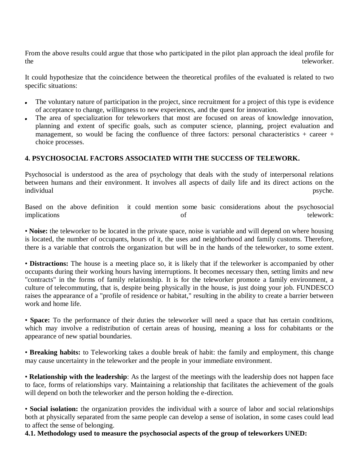From the above results could argue that those who participated in the pilot plan approach the ideal profile for the teleworker.

It could hypothesize that the coincidence between the theoretical profiles of the evaluated is related to two specific situations:

- The voluntary nature of participation in the project, since recruitment for a project of this type is evidence of acceptance to change, willingness to new experiences, and the quest for innovation.
- The area of specialization for teleworkers that most are focused on areas of knowledge innovation, planning and extent of specific goals, such as computer science, planning, project evaluation and management, so would be facing the confluence of three factors: personal characteristics  $+$  career  $+$ choice processes.

### **4. PSYCHOSOCIAL FACTORS ASSOCIATED WITH THE SUCCESS OF TELEWORK.**

Psychosocial is understood as the area of psychology that deals with the study of interpersonal relations between humans and their environment. It involves all aspects of daily life and its direct actions on the individual psyche.

Based on the above definition it could mention some basic considerations about the psychosocial implications of telework:

• **Noise:** the teleworker to be located in the private space, noise is variable and will depend on where housing is located, the number of occupants, hours of it, the uses and neighborhood and family customs. Therefore, there is a variable that controls the organization but will be in the hands of the teleworker, to some extent.

• **Distractions:** The house is a meeting place so, it is likely that if the teleworker is accompanied by other occupants during their working hours having interruptions. It becomes necessary then, setting limits and new "contracts" in the forms of family relationship. It is for the teleworker promote a family environment, a culture of telecommuting, that is, despite being physically in the house, is just doing your job. FUNDESCO raises the appearance of a "profile of residence or habitat," resulting in the ability to create a barrier between work and home life.

• **Space:** To the performance of their duties the teleworker will need a space that has certain conditions, which may involve a redistribution of certain areas of housing, meaning a loss for cohabitants or the appearance of new spatial boundaries.

• **Breaking habits:** to Teleworking takes a double break of habit: the family and employment, this change may cause uncertainty in the teleworker and the people in your immediate environment.

• **Relationship with the leadership**: As the largest of the meetings with the leadership does not happen face to face, forms of relationships vary. Maintaining a relationship that facilitates the achievement of the goals will depend on both the teleworker and the person holding the e-direction.

• **Social isolation:** the organization provides the individual with a source of labor and social relationships both at physically separated from the same people can develop a sense of isolation, in some cases could lead to affect the sense of belonging.

**4.1. Methodology used to measure the psychosocial aspects of the group of teleworkers UNED:**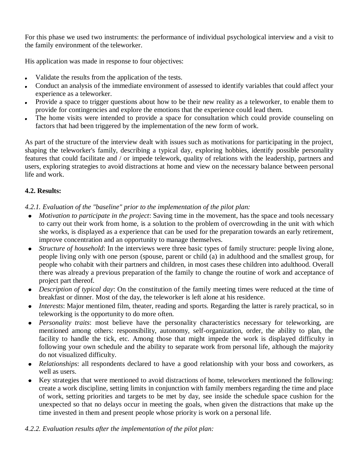For this phase we used two instruments: the performance of individual psychological interview and a visit to the family environment of the teleworker.

His application was made in response to four objectives:

- Validate the results from the application of the tests.
- Conduct an analysis of the immediate environment of assessed to identify variables that could affect your experience as a teleworker.
- Provide a space to trigger questions about how to be their new reality as a teleworker, to enable them to provide for contingencies and explore the emotions that the experience could lead them.
- The home visits were intended to provide a space for consultation which could provide counseling on factors that had been triggered by the implementation of the new form of work.

As part of the structure of the interview dealt with issues such as motivations for participating in the project, shaping the teleworker's family, describing a typical day, exploring hobbies, identify possible personality features that could facilitate and / or impede telework, quality of relations with the leadership, partners and users, exploring strategies to avoid distractions at home and view on the necessary balance between personal life and work.

## **4.2. Results:**

*4.2.1. Evaluation of the "baseline" prior to the implementation of the pilot plan:* 

- *Motivation to participate in the project*: Saving time in the movement, has the space and tools necessary to carry out their work from home, is a solution to the problem of overcrowding in the unit with which she works, is displayed as a experience that can be used for the preparation towards an early retirement, improve concentration and an opportunity to manage themselves.
- *Structure of household*: In the interviews were three basic types of family structure: people living alone,  $\bullet$ people living only with one person (spouse, parent or child (a) in adulthood and the smallest group, for people who cohabit with their partners and children, in most cases these children into adulthood. Overall there was already a previous preparation of the family to change the routine of work and acceptance of project part thereof.
- *Description of typical day*: On the constitution of the family meeting times were reduced at the time of breakfast or dinner. Most of the day, the teleworker is left alone at his residence.
- *Interests*: Major mentioned film, theater, reading and sports. Regarding the latter is rarely practical, so in  $\bullet$ teleworking is the opportunity to do more often.
- *Personality traits*: most believe have the personality characteristics necessary for teleworking, are  $\bullet$ mentioned among others: responsibility, autonomy, self-organization, order, the ability to plan, the facility to handle the tick, etc. Among those that might impede the work is displayed difficulty in following your own schedule and the ability to separate work from personal life, although the majority do not visualized difficulty.
- *Relationships*: all respondents declared to have a good relationship with your boss and coworkers, as well as users.
- Key strategies that were mentioned to avoid distractions of home, teleworkers mentioned the following: create a work discipline, setting limits in conjunction with family members regarding the time and place of work, setting priorities and targets to be met by day, see inside the schedule space cushion for the unexpected so that no delays occur in meeting the goals, when given the distractions that make up the time invested in them and present people whose priority is work on a personal life.

### *4.2.2. Evaluation results after the implementation of the pilot plan:*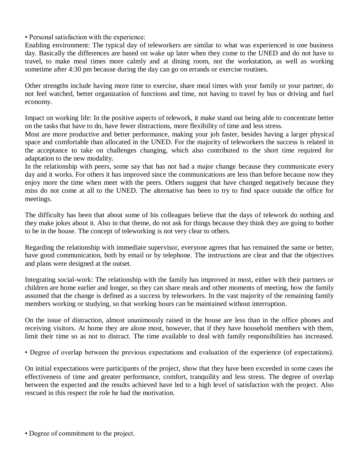• Personal satisfaction with the experience:

Enabling environment: The typical day of teleworkers are similar to what was experienced in one business day. Basically the differences are based on wake up later when they come to the UNED and do not have to travel, to make meal times more calmly and at dining room, not the workstation, as well as working sometime after 4:30 pm because during the day can go on errands or exercise routines.

Other strengths include having more time to exercise, share meal times with your family or your partner, do not feel watched, better organization of functions and time, not having to travel by bus or driving and fuel economy.

Impact on working life: In the positive aspects of telework, it make stand out being able to concentrate better on the tasks that have to do, have fewer distractions, more flexibility of time and less stress.

Most are more productive and better performance, making your job faster, besides having a larger physical space and comfortable than allocated in the UNED. For the majority of teleworkers the success is related in the acceptance to take on challenges changing, which also contributed to the short time required for adaptation to the new modality.

In the relationship with peers, some say that has not had a major change because they communicate every day and it works. For others it has improved since the communications are less than before because now they enjoy more the time when meet with the peers. Others suggest that have changed negatively because they miss do not come at all to the UNED. The alternative has been to try to find space outside the office for meetings.

The difficulty has been that about some of his colleagues believe that the days of telework do nothing and they make jokes about it. Also in that theme, do not ask for things because they think they are going to bother to be in the house. The concept of teleworking is not very clear to others.

Regarding the relationship with immediate supervisor, everyone agrees that has remained the same or better, have good communication, both by email or by telephone. The instructions are clear and that the objectives and plans were designed at the outset.

Integrating social-work: The relationship with the family has improved in most, either with their partners or children are home earlier and longer, so they can share meals and other moments of meeting, how the family assumed that the change is defined as a success by teleworkers. In the vast majority of the remaining family members working or studying, so that working hours can be maintained without interruption.

On the issue of distraction, almost unanimously raised in the house are less than in the office phones and receiving visitors. At home they are alone most, however, that if they have household members with them, limit their time so as not to distract. The time available to deal with family responsibilities has increased.

• Degree of overlap between the previous expectations and evaluation of the experience (of expectations).

On initial expectations were participants of the project, show that they have been exceeded in some cases the effectiveness of time and greater performance, comfort, tranquility and less stress. The degree of overlap between the expected and the results achieved have led to a high level of satisfaction with the project. Also rescued in this respect the role he had the motivation.

• Degree of commitment to the project.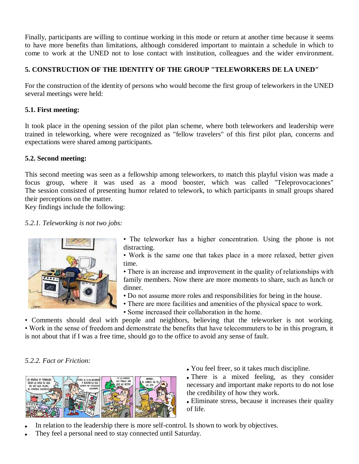Finally, participants are willing to continue working in this mode or return at another time because it seems to have more benefits than limitations, although considered important to maintain a schedule in which to come to work at the UNED not to lose contact with institution, colleagues and the wider environment.

# **5. CONSTRUCTION OF THE IDENTITY OF THE GROUP "TELEWORKERS DE LA UNED"**

For the construction of the identity of persons who would become the first group of teleworkers in the UNED several meetings were held:

# **5.1. First meeting:**

It took place in the opening session of the pilot plan scheme, where both teleworkers and leadership were trained in teleworking, where were recognized as "fellow travelers" of this first pilot plan, concerns and expectations were shared among participants.

# **5.2. Second meeting:**

This second meeting was seen as a fellowship among teleworkers, to match this playful vision was made a focus group, where it was used as a mood booster, which was called "Teleprovocaciones" The session consisted of presenting humor related to telework, to which participants in small groups shared their perceptions on the matter.

Key findings include the following:

## *5.2.1. Teleworking is not two jobs:*



• The teleworker has a higher concentration. Using the phone is not distracting.

• Work is the same one that takes place in a more relaxed, better given time.

• There is an increase and improvement in the quality of relationships with family members. Now there are more moments to share, such as lunch or dinner.

- Do not assume more roles and responsibilities for being in the house.
- There are more facilities and amenities of the physical space to work.
- Some increased their collaboration in the home.

• Comments should deal with people and neighbors, believing that the teleworker is not working. • Work in the sense of freedom and demonstrate the benefits that have telecommuters to be in this program, it is not about that if I was a free time, should go to the office to avoid any sense of fault.

# *5.2.2. Fact or Friction:*



- You feel freer, so it takes much discipline.
- There is a mixed feeling, as they consider necessary and important make reports to do not lose the credibility of how they work.

Eliminate stress, because it increases their quality of life.

- In relation to the leadership there is more self-control. Is shown to work by objectives.
- They feel a personal need to stay connected until Saturday.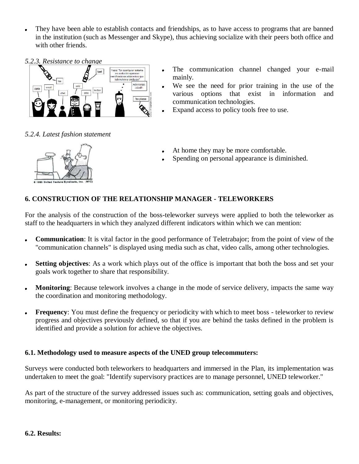- They have been able to establish contacts and friendships, as to have access to programs that are banned in the institution (such as Messenger and Skype), thus achieving socialize with their peers both office and with other friends.
- *5.2.3. Resistance to change*



*5.2.4. Latest fashion statement* 

- The communication channel changed your e-mail mainly.
	- We see the need for prior training in the use of the various options that exist in information and communication technologies.
- Expand access to policy tools free to use.
- At home they may be more comfortable.
- Spending on personal appearance is diminished.

# **6. CONSTRUCTION OF THE RELATIONSHIP MANAGER - TELEWORKERS**

For the analysis of the construction of the boss-teleworker surveys were applied to both the teleworker as staff to the headquarters in which they analyzed different indicators within which we can mention:

- **Communication**: It is vital factor in the good performance of Teletrabajor; from the point of view of the  $\bullet$ "communication channels" is displayed using media such as chat, video calls, among other technologies.
- **Setting objectives**: As a work which plays out of the office is important that both the boss and set your  $\bullet$ goals work together to share that responsibility.
- **Monitoring**: Because telework involves a change in the mode of service delivery, impacts the same way  $\bullet$ the coordination and monitoring methodology.
- **Frequency**: You must define the frequency or periodicity with which to meet boss teleworker to review  $\bullet$ progress and objectives previously defined, so that if you are behind the tasks defined in the problem is identified and provide a solution for achieve the objectives.

### **6.1. Methodology used to measure aspects of the UNED group telecommuters:**

Surveys were conducted both teleworkers to headquarters and immersed in the Plan, its implementation was undertaken to meet the goal: "Identify supervisory practices are to manage personnel, UNED teleworker."

As part of the structure of the survey addressed issues such as: communication, setting goals and objectives, monitoring, e-management, or monitoring periodicity.

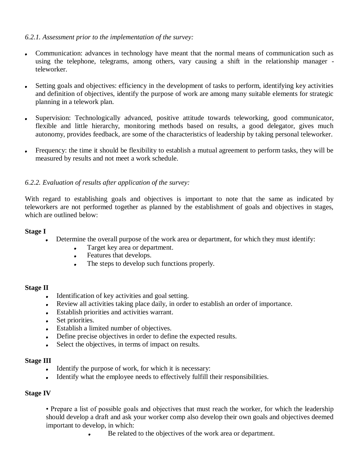## *6.2.1. Assessment prior to the implementation of the survey:*

- Communication: advances in technology have meant that the normal means of communication such as using the telephone, telegrams, among others, vary causing a shift in the relationship manager teleworker.
- Setting goals and objectives: efficiency in the development of tasks to perform, identifying key activities and definition of objectives, identify the purpose of work are among many suitable elements for strategic planning in a telework plan.
- Supervision: Technologically advanced, positive attitude towards teleworking, good communicator, flexible and little hierarchy, monitoring methods based on results, a good delegator, gives much autonomy, provides feedback, are some of the characteristics of leadership by taking personal teleworker.
- Frequency: the time it should be flexibility to establish a mutual agreement to perform tasks, they will be measured by results and not meet a work schedule.

## *6.2.2. Evaluation of results after application of the survey:*

With regard to establishing goals and objectives is important to note that the same as indicated by teleworkers are not performed together as planned by the establishment of goals and objectives in stages, which are outlined below:

#### **Stage I**

- Determine the overall purpose of the work area or department, for which they must identify:
	- Target key area or department.  $\bullet$
	- Features that develops.  $\bullet$
	- The steps to develop such functions properly.  $\bullet$

#### **Stage II**

- Identification of key activities and goal setting.
- Review all activities taking place daily, in order to establish an order of importance.
- Establish priorities and activities warrant.  $\bullet$
- Set priorities.
- Establish a limited number of objectives.
- Define precise objectives in order to define the expected results.
- Select the objectives, in terms of impact on results.

#### **Stage III**

- Identify the purpose of work, for which it is necessary:  $\bullet$  .
- Identify what the employee needs to effectively fulfill their responsibilities.  $\bullet$  .

#### **Stage IV**

• Prepare a list of possible goals and objectives that must reach the worker, for which the leadership should develop a draft and ask your worker comp also develop their own goals and objectives deemed important to develop, in which:

Be related to the objectives of the work area or department.